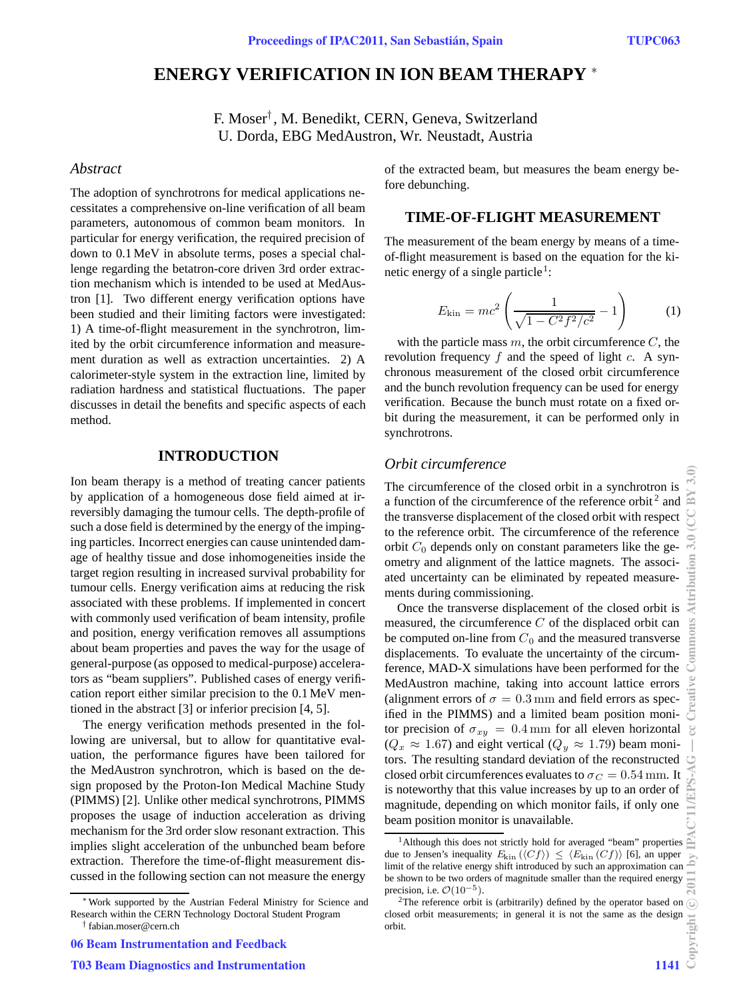# **ENERGY VERIFICATION IN ION BEAM THERAPY** <sup>∗</sup>

F. Moser† , M. Benedikt, CERN, Geneva, Switzerland U. Dorda, EBG MedAustron, Wr. Neustadt, Austria

### *Abstract*

The adoption of synchrotrons for medical applications necessitates a comprehensive on-line verification of all beam parameters, autonomous of common beam monitors. In particular for energy verification, the required precision of down to 0.1 MeV in absolute terms, poses a special challenge regarding the betatron-core driven 3rd order extraction mechanism which is intended to be used at MedAustron [1]. Two different energy verification options have been studied and their limiting factors were investigated: 1) A time-of-flight measurement in the synchrotron, limited by the orbit circumference information and measurement duration as well as extraction uncertainties. 2) A calorimeter-style system in the extraction line, limited by radiation hardness and statistical fluctuations. The paper discusses in detail the benefits and specific aspects of each method.

### **INTRODUCTION**

Ion beam therapy is a method of treating cancer patients by application of a homogeneous dose field aimed at irreversibly damaging the tumour cells. The depth-profile of such a dose field is determined by the energy of the impinging particles. Incorrect energies can cause unintended damage of healthy tissue and dose inhomogeneities inside the target region resulting in increased survival probability for tumour cells. Energy verification aims at reducing the risk associated with these problems. If implemented in concert with commonly used verification of beam intensity, profile and position, energy verification removes all assumptions about beam properties and paves the way for the usage of general-purpose (as opposed to medical-purpose) accelerators as "beam suppliers". Published cases of energy verification report either similar precision to the 0.1MeV mentioned in the abstract [3] or inferior precision [4, 5].

The energy verification methods presented in the following are universal, but to allow for quantitative evaluation, the performance figures have been tailored for the MedAustron synchrotron, which is based on the design proposed by the Proton-Ion Medical Machine Study (PIMMS) [2]. Unlike other medical synchrotrons, PIMMS proposes the usage of induction acceleration as driving mechanism for the 3rd order slow resonant extraction. This implies slight acceleration of the unbunched beam before extraction. Therefore the time-of-flight measurement discussed in the following section can not measure the energy

<sup>∗</sup>Work supported by the Austrian Federal Ministry for Science and Research within the CERN Technology Doctoral Student Program

06 Beam Instrumentation and Feedback

of the extracted beam, but measures the beam energy before debunching.

### **TIME-OF-FLIGHT MEASUREMENT**

The measurement of the beam energy by means of a timeof-flight measurement is based on the equation for the kinetic energy of a single particle<sup>1</sup>:

$$
E_{\rm kin} = mc^2 \left( \frac{1}{\sqrt{1 - C^2 f^2 / c^2}} - 1 \right) \tag{1}
$$

with the particle mass  $m$ , the orbit circumference  $C$ , the revolution frequency  $f$  and the speed of light c. A synchronous measurement of the closed orbit circumference and the bunch revolution frequency can be used for energy verification. Because the bunch must rotate on a fixed orbit during the measurement, it can be performed only in synchrotrons.

### *Orbit circumference*

The circumference of the closed orbit in a synchrotron is a function of the circumference of the reference orbit<sup>2</sup> and the transverse displacement of the closed orbit with respect to the reference orbit. The circumference of the reference orbit  $C_0$  depends only on constant parameters like the geometry and alignment of the lattice magnets. The associated uncertainty can be eliminated by repeated measurements during commissioning.

Once the transverse displacement of the closed orbit is measured, the circumference  $C$  of the displaced orbit can be computed on-line from  $C_0$  and the measured transverse displacements. To evaluate the uncertainty of the circumference, MAD-X simulations have been performed for the MedAustron machine, taking into account lattice errors (alignment errors of  $\sigma = 0.3$  mm and field errors as specified in the PIMMS) and a limited beam position monitor precision of  $\sigma_{xy} = 0.4 \,\text{mm}$  for all eleven horizontal  $(Q_x \approx 1.67)$  and eight vertical  $(Q_y \approx 1.79)$  beam monitors. The resulting standard deviation of the reconstructed closed orbit circumferences evaluates to  $\sigma_C = 0.54$  mm. It is noteworthy that this value increases by up to an order of magnitude, depending on which monitor fails, if only one beam position monitor is unavailable.

<sup>†</sup> fabian.moser@cern.ch

<sup>&</sup>lt;sup>1</sup>Although this does not strictly hold for averaged "beam" properties due to Jensen's inequality  $E_{\text{kin}}(\langle Cf \rangle) \leq \langle E_{\text{kin}}(Cf) \rangle$  [6], an upper limit of the relative energy shift introduced by such an approximation can be shown to be two orders of magnitude smaller than the required energy precision, i.e.  $\mathcal{O}(10^{-5})$ .

 $2$ The reference orbit is (arbitrarily) defined by the operator based on closed orbit measurements; in general it is not the same as the design orbit.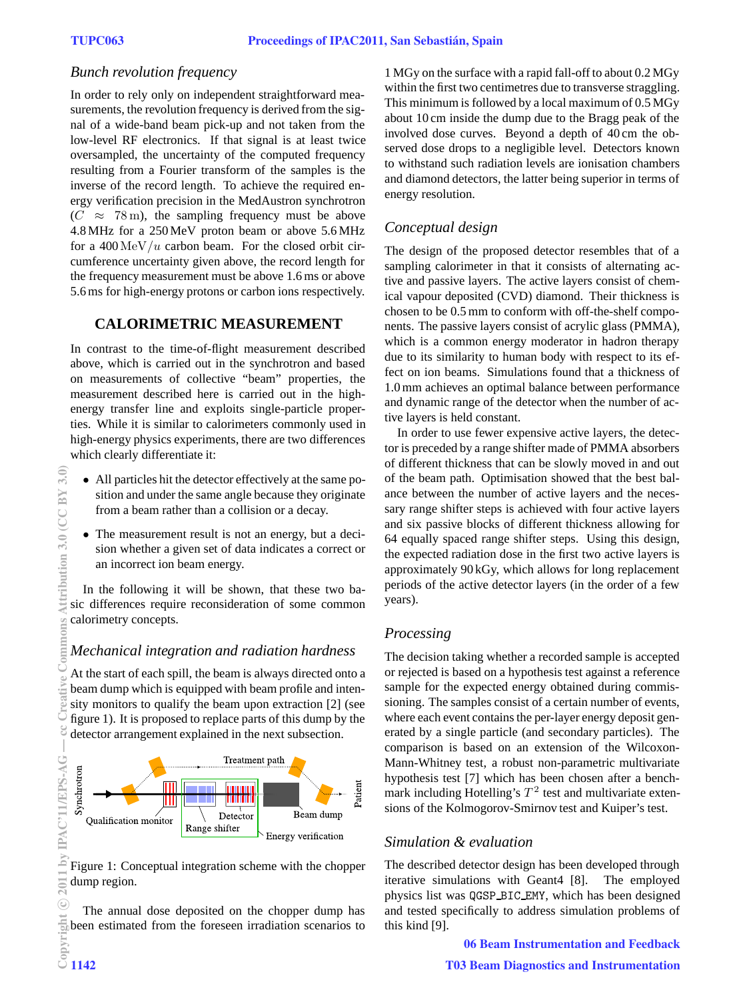### *Bunch revolution frequency*

In order to rely only on independent straightforward measurements, the revolution frequency is derived from the signal of a wide-band beam pick-up and not taken from the low-level RF electronics. If that signal is at least twice oversampled, the uncertainty of the computed frequency resulting from a Fourier transform of the samples is the inverse of the record length. To achieve the required energy verification precision in the MedAustron synchrotron  $(C \approx 78 \,\mathrm{m})$ , the sampling frequency must be above 4.8 MHz for a 250MeV proton beam or above 5.6 MHz for a  $400 \,\mathrm{MeV}/u$  carbon beam. For the closed orbit circumference uncertainty given above, the record length for the frequency measurement must be above 1.6 ms or above 5.6 ms for high-energy protons or carbon ions respectively.

# **CALORIMETRIC MEASUREMENT**

In contrast to the time-of-flight measurement described above, which is carried out in the synchrotron and based on measurements of collective "beam" properties, the measurement described here is carried out in the highenergy transfer line and exploits single-particle properties. While it is similar to calorimeters commonly used in high-energy physics experiments, there are two differences which clearly differentiate it:

- All particles hit the detector effectively at the same position and under the same angle because they originate from a beam rather than a collision or a decay.
- The measurement result is not an energy, but a decision whether a given set of data indicates a correct or an incorrect ion beam energy.

In the following it will be shown, that these two basic differences require reconsideration of some common calorimetry concepts.

# *Mechanical integration and radiation hardness*

At the start of each spill, the beam is always directed onto a beam dump which is equipped with beam profile and intensity monitors to qualify the beam upon extraction [2] (see figure 1). It is proposed to replace parts of this dump by the detector arrangement explained in the next subsection.



Figure 1: Conceptual integration scheme with the chopper dump region.

The annual dose deposited on the chopper dump has been estimated from the foreseen irradiation scenarios to<br>  $\frac{1}{2}$ <br>  $\frac{1}{2}$ <br>  $\frac{1}{2}$ <br>  $\frac{1}{142}$ 

1 MGy on the surface with a rapid fall-off to about 0.2 MGy within the first two centimetres due to transverse straggling. This minimum is followed by a local maximum of 0.5 MGy about 10 cm inside the dump due to the Bragg peak of the involved dose curves. Beyond a depth of 40 cm the observed dose drops to a negligible level. Detectors known to withstand such radiation levels are ionisation chambers and diamond detectors, the latter being superior in terms of energy resolution.

# *Conceptual design*

The design of the proposed detector resembles that of a sampling calorimeter in that it consists of alternating active and passive layers. The active layers consist of chemical vapour deposited (CVD) diamond. Their thickness is chosen to be 0.5 mm to conform with off-the-shelf components. The passive layers consist of acrylic glass (PMMA), which is a common energy moderator in hadron therapy due to its similarity to human body with respect to its effect on ion beams. Simulations found that a thickness of 1.0 mm achieves an optimal balance between performance and dynamic range of the detector when the number of active layers is held constant.

In order to use fewer expensive active layers, the detector is preceded by a range shifter made of PMMA absorbers of different thickness that can be slowly moved in and out of the beam path. Optimisation showed that the best balance between the number of active layers and the necessary range shifter steps is achieved with four active layers and six passive blocks of different thickness allowing for 64 equally spaced range shifter steps. Using this design, the expected radiation dose in the first two active layers is approximately 90 kGy, which allows for long replacement periods of the active detector layers (in the order of a few years).

# *Processing*

The decision taking whether a recorded sample is accepted or rejected is based on a hypothesis test against a reference sample for the expected energy obtained during commissioning. The samples consist of a certain number of events, where each event contains the per-layer energy deposit generated by a single particle (and secondary particles). The comparison is based on an extension of the Wilcoxon-Mann-Whitney test, a robust non-parametric multivariate hypothesis test [7] which has been chosen after a benchmark including Hotelling's  $T^2$  test and multivariate extensions of the Kolmogorov-Smirnov test and Kuiper's test.

# *Simulation & evaluation*

The described detector design has been developed through iterative simulations with Geant4 [8]. The employed physics list was QGSP BIC EMY, which has been designed and tested specifically to address simulation problems of this kind [9].

06 Beam Instrumentation and Feedback